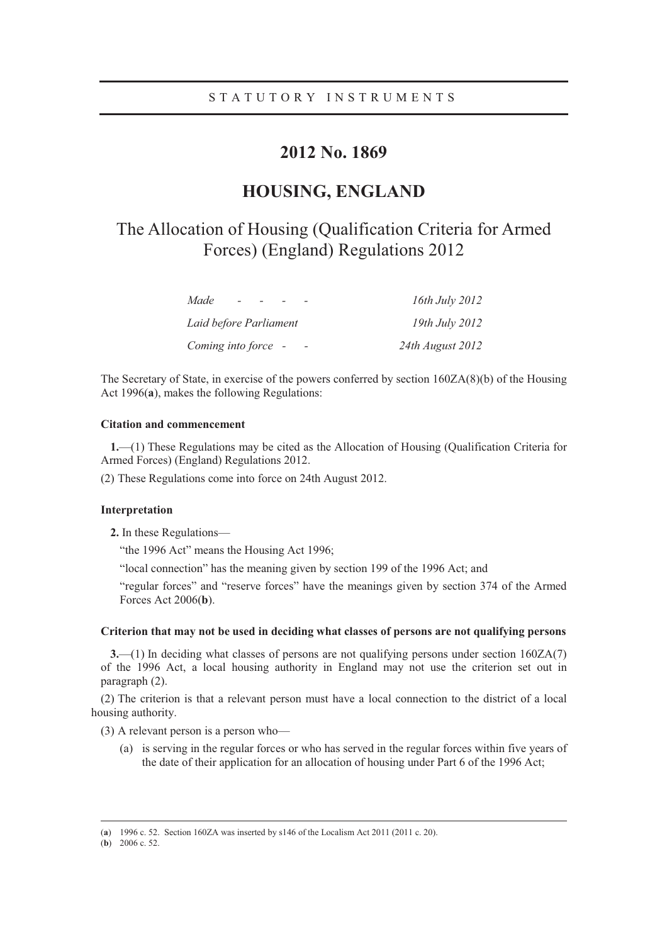### STATUTORY INSTRUMENTS

## **2012 No. 1869**

## **HOUSING, ENGLAND**

# The Allocation of Housing (Qualification Criteria for Armed Forces) (England) Regulations 2012

| Made                   | 16th July 2012   |
|------------------------|------------------|
| Laid before Parliament | 19th July 2012   |
| Coming into force -    | 24th August 2012 |

The Secretary of State, in exercise of the powers conferred by section 160ZA(8)(b) of the Housing Act 1996(**a**), makes the following Regulations:

#### **Citation and commencement**

**1.**—(1) These Regulations may be cited as the Allocation of Housing (Qualification Criteria for Armed Forces) (England) Regulations 2012.

(2) These Regulations come into force on 24th August 2012.

#### **Interpretation**

**2.** In these Regulations—

"the 1996 Act" means the Housing Act 1996;

"local connection" has the meaning given by section 199 of the 1996 Act; and

"regular forces" and "reserve forces" have the meanings given by section 374 of the Armed Forces Act 2006(**b**).

#### **Criterion that may not be used in deciding what classes of persons are not qualifying persons**

**3.**—(1) In deciding what classes of persons are not qualifying persons under section 160ZA(7) of the 1996 Act, a local housing authority in England may not use the criterion set out in paragraph (2).

(2) The criterion is that a relevant person must have a local connection to the district of a local housing authority.

(3) A relevant person is a person who—

(a) is serving in the regular forces or who has served in the regular forces within five years of the date of their application for an allocation of housing under Part 6 of the 1996 Act;

<sup>(</sup>**a**) 1996 c. 52. Section 160ZA was inserted by s146 of the Localism Act 2011 (2011 c. 20).

<sup>(</sup>**b**) 2006 c. 52.